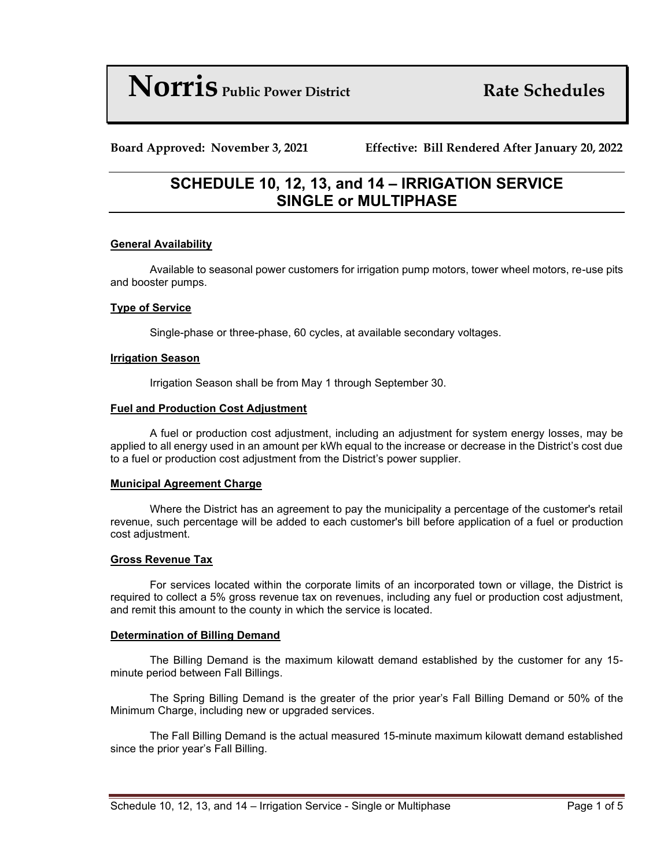# **Norris Public Power District Rate Schedules**

**Board Approved: November 3, 2021 Effective: Bill Rendered After January 20, 2022**

# **SCHEDULE 10, 12, 13, and 14 – IRRIGATION SERVICE SINGLE or MULTIPHASE**

# **General Availability**

Available to seasonal power customers for irrigation pump motors, tower wheel motors, re-use pits and booster pumps.

## **Type of Service**

Single-phase or three-phase, 60 cycles, at available secondary voltages.

#### **Irrigation Season**

Irrigation Season shall be from May 1 through September 30.

#### **Fuel and Production Cost Adjustment**

A fuel or production cost adjustment, including an adjustment for system energy losses, may be applied to all energy used in an amount per kWh equal to the increase or decrease in the District's cost due to a fuel or production cost adjustment from the District's power supplier.

#### **Municipal Agreement Charge**

Where the District has an agreement to pay the municipality a percentage of the customer's retail revenue, such percentage will be added to each customer's bill before application of a fuel or production cost adjustment.

#### **Gross Revenue Tax**

For services located within the corporate limits of an incorporated town or village, the District is required to collect a 5% gross revenue tax on revenues, including any fuel or production cost adjustment, and remit this amount to the county in which the service is located.

#### **Determination of Billing Demand**

The Billing Demand is the maximum kilowatt demand established by the customer for any 15 minute period between Fall Billings.

The Spring Billing Demand is the greater of the prior year's Fall Billing Demand or 50% of the Minimum Charge, including new or upgraded services.

The Fall Billing Demand is the actual measured 15-minute maximum kilowatt demand established since the prior year's Fall Billing.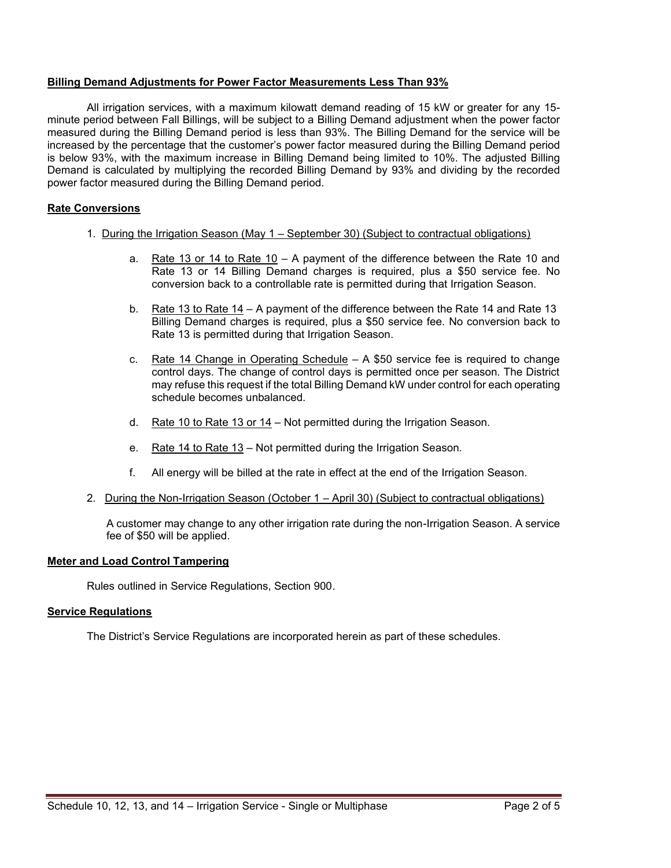#### **Billing Demand Adjustments for Power Factor Measurements Less Than 93%**

All irrigation services, with a maximum kilowatt demand reading of 15 kW or greater for any 15 minute period between Fall Billings, will be subject to a Billing Demand adjustment when the power factor measured during the Billing Demand period is less than 93%. The Billing Demand for the service will be increased by the percentage that the customer's power factor measured during the Billing Demand period is below 93%, with the maximum increase in Billing Demand being limited to 10%. The adjusted Billing Demand is calculated by multiplying the recorded Billing Demand by 93% and dividing by the recorded power factor measured during the Billing Demand period.

# **Rate Conversions**

- 1. During the Irrigation Season (May 1 September 30) (Subject to contractual obligations)
	- a. Rate 13 or 14 to Rate  $10 A$  payment of the difference between the Rate 10 and Rate 13 or 14 Billing Demand charges is required, plus a \$50 service fee. No conversion back to a controllable rate is permitted during that Irrigation Season.
	- b. Rate 13 to Rate 14 A payment of the difference between the Rate 14 and Rate 13 Billing Demand charges is required, plus a \$50 service fee. No conversion back to Rate 13 is permitted during that Irrigation Season.
	- c. Rate 14 Change in Operating Schedule  $A$  \$50 service fee is required to change control days. The change of control days is permitted once per season. The District may refuse this request if the total Billing Demand kW under control for each operating schedule becomes unbalanced.
	- d. Rate 10 to Rate 13 or 14 Not permitted during the Irrigation Season.
	- e. Rate 14 to Rate 13 Not permitted during the Irrigation Season.
	- f. All energy will be billed at the rate in effect at the end of the Irrigation Season.
- 2. During the Non-Irrigation Season (October 1 April 30) (Subject to contractual obligations)

A customer may change to any other irrigation rate during the non-Irrigation Season. A service fee of \$50 will be applied.

#### **Meter and Load Control Tampering**

Rules outlined in Service Regulations, Section 900.

#### **Service Regulations**

The District's Service Regulations are incorporated herein as part of these schedules.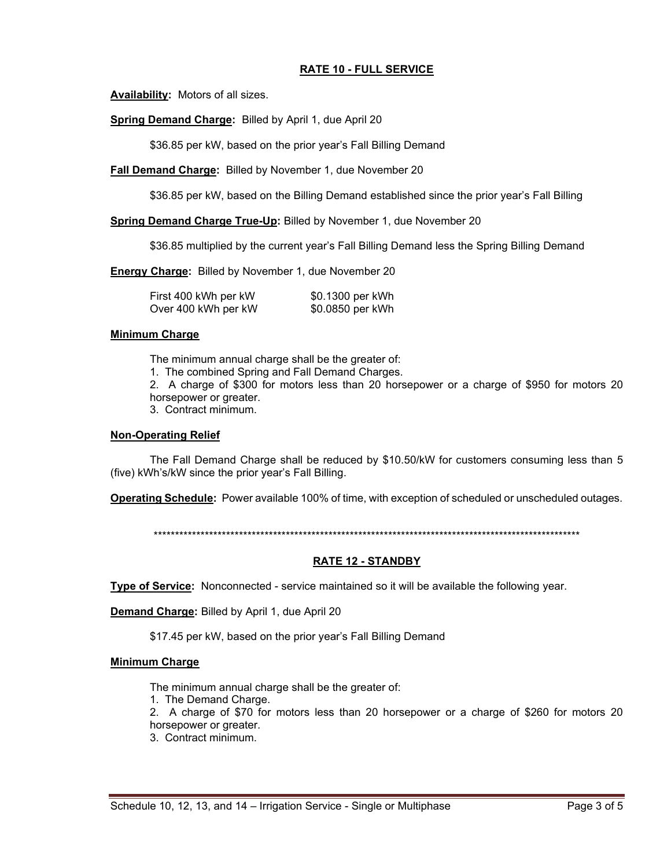# **RATE 10 - FULL SERVICE**

**Availability:** Motors of all sizes.

**Spring Demand Charge:** Billed by April 1, due April 20

\$36.85 per kW, based on the prior year's Fall Billing Demand

**Fall Demand Charge:** Billed by November 1, due November 20

\$36.85 per kW, based on the Billing Demand established since the prior year's Fall Billing

**Spring Demand Charge True-Up:** Billed by November 1, due November 20

\$36.85 multiplied by the current year's Fall Billing Demand less the Spring Billing Demand

**Energy Charge:** Billed by November 1, due November 20

| First 400 kWh per kW | \$0.1300 per kWh |
|----------------------|------------------|
| Over 400 kWh per kW  | \$0.0850 per kWh |

#### **Minimum Charge**

The minimum annual charge shall be the greater of:

1. The combined Spring and Fall Demand Charges.

2. A charge of \$300 for motors less than 20 horsepower or a charge of \$950 for motors 20 horsepower or greater.

3. Contract minimum.

#### **Non-Operating Relief**

The Fall Demand Charge shall be reduced by \$10.50/kW for customers consuming less than 5 (five) kWh's/kW since the prior year's Fall Billing.

**Operating Schedule:** Power available 100% of time, with exception of scheduled or unscheduled outages.

\*\*\*\*\*\*\*\*\*\*\*\*\*\*\*\*\*\*\*\*\*\*\*\*\*\*\*\*\*\*\*\*\*\*\*\*\*\*\*\*\*\*\*\*\*\*\*\*\*\*\*\*\*\*\*\*\*\*\*\*\*\*\*\*\*\*\*\*\*\*\*\*\*\*\*\*\*\*\*\*\*\*\*\*\*\*\*\*\*\*\*\*\*\*\*\*\*\*\*\*

# **RATE 12 - STANDBY**

**Type of Service:** Nonconnected - service maintained so it will be available the following year.

**Demand Charge:** Billed by April 1, due April 20

\$17.45 per kW, based on the prior year's Fall Billing Demand

#### **Minimum Charge**

The minimum annual charge shall be the greater of:

1. The Demand Charge.

2. A charge of \$70 for motors less than 20 horsepower or a charge of \$260 for motors 20 horsepower or greater.

3. Contract minimum.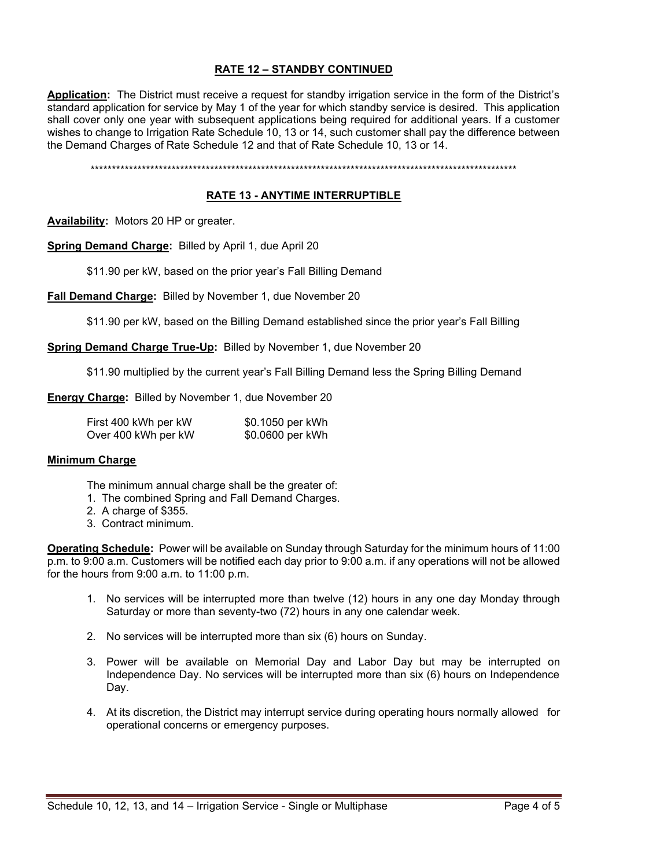# **RATE 12 – STANDBY CONTINUED**

**Application:** The District must receive a request for standby irrigation service in the form of the District's standard application for service by May 1 of the year for which standby service is desired. This application shall cover only one year with subsequent applications being required for additional years. If a customer wishes to change to Irrigation Rate Schedule 10, 13 or 14, such customer shall pay the difference between the Demand Charges of Rate Schedule 12 and that of Rate Schedule 10, 13 or 14.

\*\*\*\*\*\*\*\*\*\*\*\*\*\*\*\*\*\*\*\*\*\*\*\*\*\*\*\*\*\*\*\*\*\*\*\*\*\*\*\*\*\*\*\*\*\*\*\*\*\*\*\*\*\*\*\*\*\*\*\*\*\*\*\*\*\*\*\*\*\*\*\*\*\*\*\*\*\*\*\*\*\*\*\*\*\*\*\*\*\*\*\*\*\*\*\*\*\*\*\*

## **RATE 13 - ANYTIME INTERRUPTIBLE**

**Availability:** Motors 20 HP or greater.

**Spring Demand Charge:** Billed by April 1, due April 20

\$11.90 per kW, based on the prior year's Fall Billing Demand

**Fall Demand Charge:** Billed by November 1, due November 20

\$11.90 per kW, based on the Billing Demand established since the prior year's Fall Billing

**Spring Demand Charge True-Up:** Billed by November 1, due November 20

\$11.90 multiplied by the current year's Fall Billing Demand less the Spring Billing Demand

**Energy Charge:** Billed by November 1, due November 20

| First 400 kWh per kW | \$0.1050 per kWh |
|----------------------|------------------|
| Over 400 kWh per kW  | \$0.0600 per kWh |

#### **Minimum Charge**

The minimum annual charge shall be the greater of:

- 1. The combined Spring and Fall Demand Charges.
- 2. A charge of \$355.
- 3. Contract minimum.

**Operating Schedule:** Power will be available on Sunday through Saturday for the minimum hours of 11:00 p.m. to 9:00 a.m. Customers will be notified each day prior to 9:00 a.m. if any operations will not be allowed for the hours from 9:00 a.m. to 11:00 p.m.

- 1. No services will be interrupted more than twelve (12) hours in any one day Monday through Saturday or more than seventy-two (72) hours in any one calendar week.
- 2. No services will be interrupted more than six (6) hours on Sunday.
- 3. Power will be available on Memorial Day and Labor Day but may be interrupted on Independence Day. No services will be interrupted more than six (6) hours on Independence Day.
- 4. At its discretion, the District may interrupt service during operating hours normally allowed for operational concerns or emergency purposes.